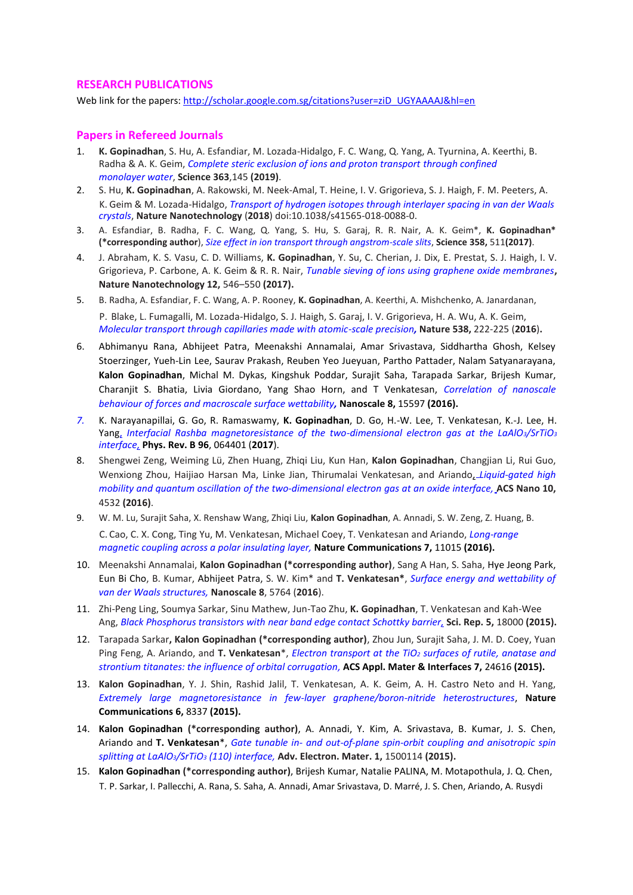## **RESEARCH PUBLICATIONS**

Web link for the papers[: http://scholar.google.com.sg/citations?user=ziD\\_UGYAAAAJ&hl=en](http://scholar.google.com.sg/citations?user=ziD_UGYAAAAJ&hl=en)

## **Papers in Refereed Journals**

- 1. **K. Gopinadhan**, S. Hu, A. Esfandiar, M. Lozada-Hidalgo, F. C. Wang, Q. Yang, A. Tyurnina, A. Keerthi, B. Radha & A. K. Geim, *Complete steric exclusion of ions and proton transport through confined monolayer water*, **Science 363**,145 **(2019)**.
- 2. S. Hu, **K. Gopinadhan**, A. Rakowski, M. Neek-Amal, T. Heine, I. V. Grigorieva, S. J. Haigh, F. M. Peeters, A. K. Geim & M. Lozada-Hidalgo, *Transport of hydrogen isotopes through interlayer spacing in van der Waals crystals*, **Nature Nanotechnology** (**2018**) doi:10.1038/s41565-018-0088-0.
- 3. A. Esfandiar, B. Radha, F. C. Wang, Q. Yang, S. Hu, S. Garaj, R. R. Nair, A. K. Geim\*, **K. Gopinadhan\* (\*corresponding author**), *Size effect in ion transport through angstrom-scale slits*, **Science 358,** 511**(2017)**.
- 4. J. Abraham, K. S. Vasu, C. D. Williams, **K. Gopinadhan**, Y. Su, C. Cherian, J. Dix, E. Prestat, S. J. Haigh, I. V. Grigorieva, P. Carbone, A. K. Geim & R. R. Nair, *Tunable sieving of ions using graphene oxide membranes***, Nature Nanotechnology 12,** 546–550 **(2017).**
- 5. B. Radha, A. Esfandiar, F. C. Wang, A. P. Rooney, **K. Gopinadhan**, A. Keerthi, A. Mishchenko, A. Janardanan, P. Blake, L. Fumagalli, M. Lozada-Hidalgo, S. J. Haigh, S. Garaj, I. V. Grigorieva, H. A. Wu, A. K. Geim, *Molecular transport through capillaries made with atomic-scale precision,* **Nature 538,** 222-225 (**2016**)**.**
- 6. Abhimanyu Rana, Abhijeet Patra, Meenakshi Annamalai, Amar Srivastava, Siddhartha Ghosh, Kelsey Stoerzinger, Yueh-Lin Lee, Saurav Prakash, Reuben Yeo Jueyuan, Partho Pattader, Nalam Satyanarayana, **Kalon Gopinadhan**, Michal M. Dykas, Kingshuk Poddar, Surajit Saha, Tarapada Sarkar, Brijesh Kumar, Charanjit S. Bhatia, Livia Giordano, Yang Shao Horn, and T Venkatesan, *Correlation of nanoscale behaviour of forces and macroscale surface wettability,* **Nanoscale 8,** 15597 **(2016).**
- *7.* K. Narayanapillai, G. Go, R. Ramaswamy, **K. Gopinadhan**, D. Go, H.-W. Lee, T. Venkatesan, K.-J. Lee, H. Yang, *[Interfacial Rashba magnetoresistance of the two-dimensional electron gas at the LaAlO](https://journals.aps.org/prb/abstract/10.1103/PhysRevB.96.064401)3/SrTiO<sup>3</sup> [interface,](https://journals.aps.org/prb/abstract/10.1103/PhysRevB.96.064401)* **Phys. Rev. B 96**, 064401 (**2017**).
- 8. Shengwei Zeng, Weiming Lü, Zhen Huang, Zhiqi Liu, Kun Han, **Kalon Gopinadhan**, Changjian Li, Rui Guo, Wenxiong Zhou, Haijiao Harsan Ma, Linke Jian, Thirumalai Venkatesan, and Ariando*, Liquid-gated high mobility and quantum oscillation of the two-dimensional electron gas at an oxide interface,* **ACS Nano 10,** 4532 **(2016)**.
- 9. W. M. Lu, Surajit Saha, X. Renshaw Wang, Zhiqi Liu, **Kalon Gopinadhan**, A. Annadi, S. W. Zeng, Z. Huang, B. C. Cao, C. X. Cong, Ting Yu, M. Venkatesan, Michael Coey, T. Venkatesan and Ariando, *Long-range magnetic coupling across a polar insulating layer,* **Nature Communications 7,** 11015 **(2016).**
- 10. Meenakshi Annamalai, **Kalon Gopinadhan (\*corresponding author)**, Sang A Han, S. Saha, Hye Jeong Park, Eun Bi Cho, B. Kumar, Abhijeet Patra, S. W. Kim\* and **T. Venkatesan\***, *Surface energy and wettability of van der Waals structures,* **Nanoscale 8**, 5764 (**2016**).
- 11. Zhi-Peng Ling, Soumya Sarkar, Sinu Mathew, Jun-Tao Zhu, **K. Gopinadhan**, T. Venkatesan and Kah-Wee Ang, *Black Phosphorus transistors with near band edge contact Schottky barrier,* **Sci. Rep. 5,** 18000 **(2015).**
- 12. Tarapada Sarkar**, Kalon Gopinadhan (\*corresponding author)**, Zhou Jun, Surajit Saha, J. M. D. Coey, Yuan Ping Feng, A. Ariando, and **T. Venkatesan**\*, *Electron transport at the TiO<sup>2</sup> surfaces of rutile, anatase and strontium titanates: the influence of orbital corrugation,* **ACS Appl. Mater & Interfaces 7,** 24616 **(2015).**
- 13. **Kalon Gopinadhan**, Y. J. Shin, Rashid Jalil, T. Venkatesan, A. K. Geim, A. H. Castro Neto and H. Yang, *Extremely large magnetoresistance in few-layer graphene/boron-nitride heterostructures*, **Nature Communications 6,** 8337 **(2015).**
- 14. **Kalon Gopinadhan (\*corresponding author)**, A. Annadi, Y. Kim, A. Srivastava, B. Kumar, J. S. Chen, Ariando and **T. Venkatesan**\*, *Gate tunable in- and out-of-plane spin-orbit coupling and anisotropic spin splitting at LaAlO3/SrTiO<sup>3</sup> (110) interface,* **Adv. Electron. Mater. 1,** 1500114 **(2015).**
- 15. **Kalon Gopinadhan (\*corresponding author)**, Brijesh Kumar, Natalie PALINA, M. Motapothula, J. Q. Chen, T. P. Sarkar, I. Pallecchi, A. Rana, S. Saha, A. Annadi, Amar Srivastava, D. Marré, J. S. Chen, Ariando, A. Rusydi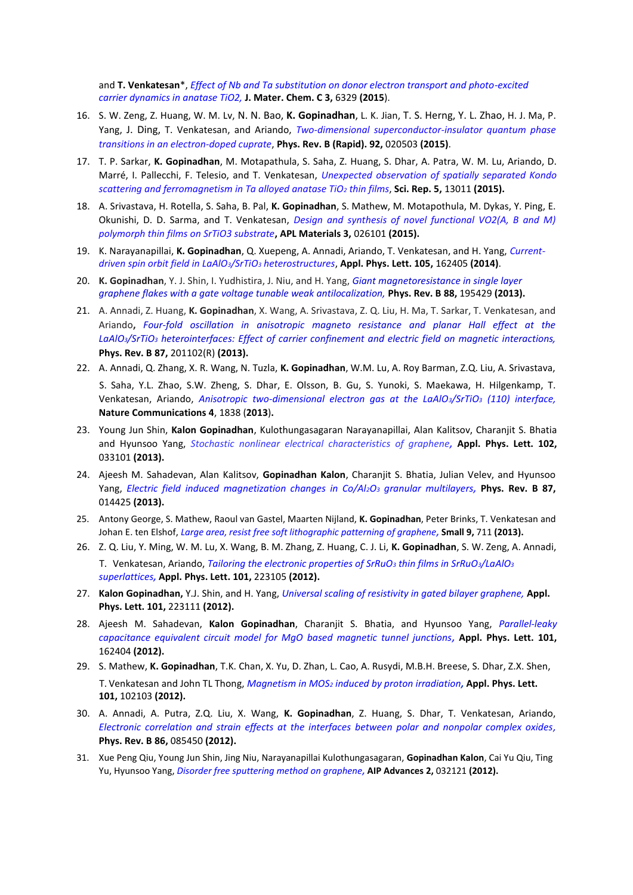and **T. Venkatesan**\*, *Effect of Nb and Ta substitution on donor electron transport and photo-excited carrier dynamics in anatase TiO2,* **J. Mater. Chem. C 3,** 6329 **(2015**).

- 16. S. W. Zeng, Z. Huang, W. M. Lv, N. N. Bao, **K. Gopinadhan**, L. K. Jian, T. S. Herng, Y. L. Zhao, H. J. Ma, P. Yang, J. Ding, T. Venkatesan, and Ariando, *Two-dimensional superconductor-insulator quantum phase transitions in an electron-doped cuprate*, **Phys. Rev. B (Rapid). 92,** 020503 **(2015)**.
- 17. T. P. Sarkar, **K. Gopinadhan**, M. Motapathula, S. Saha, Z. Huang, S. Dhar, A. Patra, W. M. Lu, Ariando, D. Marré, I. Pallecchi, F. Telesio, and T. Venkatesan, *Unexpected observation of spatially separated Kondo scattering and ferromagnetism in Ta alloyed anatase TiO<sup>2</sup> thin films*, **Sci. Rep. 5,** 13011 **(2015).**
- 18. A. Srivastava, H. Rotella, S. Saha, B. Pal, **K. Gopinadhan**, S. Mathew, M. Motapothula, M. Dykas, Y. Ping, E. Okunishi, D. D. Sarma, and T. Venkatesan, *Design and synthesis of novel functional VO2(A, B and M) polymorph thin films on SrTiO3 substrate***, APL Materials 3,** 026101 **(2015).**
- 19. K. Narayanapillai, **K. Gopinadhan**, Q. Xuepeng, A. Annadi, Ariando, T. Venkatesan, and H. Yang, *Currentdriven spin orbit field in LaAlO3/SrTiO<sup>3</sup> heterostructures*, **Appl. Phys. Lett. 105,** 162405 **(2014)**.
- 20. **K. Gopinadhan**, Y. J. Shin, I. Yudhistira, J. Niu, and H. Yang, *Giant magnetoresistance in single layer graphene flakes with a gate voltage tunable weak antilocalization,* **Phys. Rev. B 88,** 195429 **(2013).**
- 21. A. Annadi, Z. Huang, **K. Gopinadhan**, X. Wang, A. Srivastava, Z. Q. Liu, H. Ma, T. Sarkar, T. Venkatesan, and Ariando**,** *Four-fold oscillation in anisotropic magneto resistance and planar Hall effect at the LaAlO3/SrTiO<sup>3</sup> heterointerfaces: Effect of carrier confinement and electric field on magnetic interactions,*  **Phys. Rev. B 87,** 201102(R) **(2013).**
- 22. A. Annadi, Q. Zhang, X. R. Wang, N. Tuzla, **K. Gopinadhan**, W.M. Lu, A. Roy Barman, Z.Q. Liu, A. Srivastava, S. Saha, Y.L. Zhao, S.W. Zheng, S. Dhar, E. Olsson, B. Gu, S. Yunoki, S. Maekawa, H. Hilgenkamp, T. Venkatesan, Ariando, *Anisotropic two-dimensional electron gas at the LaAlO3/SrTiO<sup>3</sup> (110) interface,* **Nature Communications 4**, 1838 (**2013**)**.**
- 23. Young Jun Shin, **Kalon Gopinadhan**, Kulothungasagaran Narayanapillai, Alan Kalitsov, Charanjit S. Bhatia and Hyunsoo Yang, *Stochastic nonlinear electrical characteristics of graphene,* **Appl. Phys. Lett. 102,** 033101 **(2013).**
- 24. Ajeesh M. Sahadevan, Alan Kalitsov, **Gopinadhan Kalon**, Charanjit S. Bhatia, Julian Velev, and Hyunsoo Yang, *Electric field induced magnetization changes in Co/Al2O<sup>3</sup> granular multilayers,* **Phys. Rev. B 87,** 014425 **(2013).**
- 25. Antony George, S. Mathew, Raoul van Gastel, Maarten Nijland, **K. Gopinadhan**, Peter Brinks, T. Venkatesan and Johan E. ten Elshof, *Large area, resist free soft lithographic patterning of graphene,* **Small 9,** 711 **(2013).**
- 26. Z. Q. Liu, Y. Ming, W. M. Lu, X. Wang, B. M. Zhang, Z. Huang, C. J. Li, **K. Gopinadhan**, S. W. Zeng, A. Annadi, T. Venkatesan, Ariando, *Tailoring the electronic properties of SrRuO<sup>3</sup> thin films in SrRuO3/LaAlO<sup>3</sup> superlattices,* **Appl. Phys. Lett. 101,** 223105 **(2012).**
- 27. **Kalon Gopinadhan,** Y.J. Shin, and H. Yang, *Universal scaling of resistivity in gated bilayer graphene,* **Appl. Phys. Lett. 101,** 223111 **(2012).**
- 28. Ajeesh M. Sahadevan, **Kalon Gopinadhan**, Charanjit S. Bhatia, and Hyunsoo Yang, *Parallel-leaky capacitance equivalent circuit model for MgO based magnetic tunnel junctions,* **Appl. Phys. Lett. 101,** 162404 **(2012).**
- 29. S. Mathew, **K. Gopinadhan**, T.K. Chan, X. Yu, D. Zhan, L. Cao, A. Rusydi, M.B.H. Breese, S. Dhar, Z.X. Shen, T. Venkatesan and John TL Thong, *Magnetism in MOS<sup>2</sup> induced by proton irradiation,* **Appl. Phys. Lett. 101,** 102103 **(2012).**
- 30. A. Annadi, A. Putra, Z.Q. Liu, X. Wang, **K. Gopinadhan**, Z. Huang, S. Dhar, T. Venkatesan, Ariando, *Electronic correlation and strain effects at the interfaces between polar and nonpolar complex oxides,* **Phys. Rev. B 86,** 085450 **(2012).**
- 31. Xue Peng Qiu, Young Jun Shin, Jing Niu, Narayanapillai Kulothungasagaran, **Gopinadhan Kalon**, Cai Yu Qiu, Ting Yu, Hyunsoo Yang, *Disorder free sputtering method on graphene,* **AIP Advances 2,** 032121 **(2012).**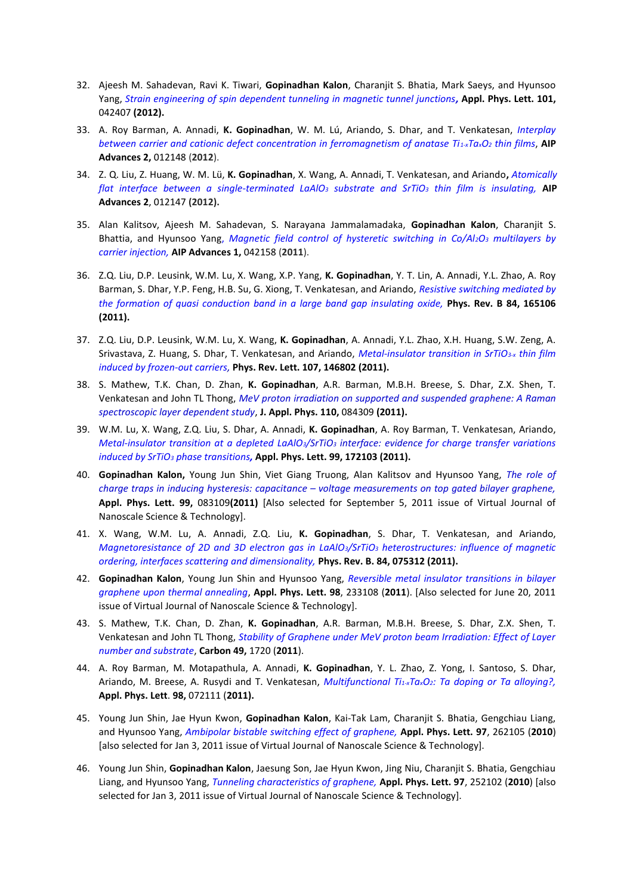- 32. Ajeesh M. Sahadevan, Ravi K. Tiwari, **Gopinadhan Kalon**, Charanjit S. Bhatia, Mark Saeys, and Hyunsoo Yang, *Strain engineering of spin dependent tunneling in magnetic tunnel junctions,* **Appl. Phys. Lett. 101,** 042407 **(2012).**
- 33. A. Roy Barman, A. Annadi, **K. Gopinadhan**, W. M. Lú, Ariando, S. Dhar, and T. Venkatesan, *Interplay between carrier and cationic defect concentration in ferromagnetism of anatase Ti1-xTaxO<sup>2</sup> thin films*, **AIP Advances 2,** 012148 (**2012**).
- 34. Z. Q. Liu, Z. Huang, W. M. Lü, **K. Gopinadhan**, X. Wang, A. Annadi, T. Venkatesan, and Ariando**,** *Atomically flat interface between a single-terminated LaAlO<sup>3</sup> substrate and SrTiO<sup>3</sup> thin film is insulating,* **AIP Advances 2**, 012147 **(2012).**
- 35. Alan Kalitsov, Ajeesh M. Sahadevan, S. Narayana Jammalamadaka, **Gopinadhan Kalon**, Charanjit S. Bhattia, and Hyunsoo Yang, *Magnetic field control of hysteretic switching in Co/Al2O<sup>3</sup> multilayers by carrier injection,* **AIP Advances 1,** 042158 (**2011**).
- 36. Z.Q. Liu, D.P. Leusink, W.M. Lu, X. Wang, X.P. Yang, **K. Gopinadhan**, Y. T. Lin, A. Annadi, Y.L. Zhao, A. Roy Barman, S. Dhar, Y.P. Feng, H.B. Su, G. Xiong, T. Venkatesan, and Ariando, *Resistive switching mediated by the formation of quasi conduction band in a large band gap insulating oxide,* **Phys. Rev. B 84, 165106 (2011).**
- 37. Z.Q. Liu, D.P. Leusink, W.M. Lu, X. Wang, **K. Gopinadhan**, A. Annadi, Y.L. Zhao, X.H. Huang, S.W. Zeng, A. Srivastava, Z. Huang, S. Dhar, T. Venkatesan, and Ariando, *Metal-insulator transition in SrTiO3-x thin film induced by frozen-out carriers,* **Phys. Rev. Lett. 107, 146802 (2011).**
- 38. S. Mathew, T.K. Chan, D. Zhan, **K. Gopinadhan**, A.R. Barman, M.B.H. Breese, S. Dhar, Z.X. Shen, T. Venkatesan and John TL Thong, *MeV proton irradiation on supported and suspended graphene: A Raman spectroscopic layer dependent study*, **J. Appl. Phys. 110,** 084309 **(2011).**
- 39. W.M. Lu, X. Wang, Z.Q. Liu, S. Dhar, A. Annadi, **K. Gopinadhan**, A. Roy Barman, T. Venkatesan, Ariando, *Metal-insulator transition at a depleted LaAlO3/SrTiO<sup>3</sup> interface: evidence for charge transfer variations induced by SrTiO<sup>3</sup> phase transitions,* **Appl. Phys. Lett. 99, 172103 (2011).**
- 40. **Gopinadhan Kalon,** Young Jun Shin, Viet Giang Truong, Alan Kalitsov and Hyunsoo Yang, *The role of charge traps in inducing hysteresis: capacitance – voltage measurements on top gated bilayer graphene,*  **Appl. Phys. Lett. 99,** 083109**(2011)** [Also selected for September 5, 2011 issue of Virtual Journal of Nanoscale Science & Technology].
- 41. X. Wang, W.M. Lu, A. Annadi, Z.Q. Liu, **K. Gopinadhan**, S. Dhar, T. Venkatesan, and Ariando, *Magnetoresistance of 2D and 3D electron gas in LaAlO3/SrTiO<sup>3</sup> heterostructures: influence of magnetic ordering, interfaces scattering and dimensionality,* **Phys. Rev. B. 84, 075312 (2011).**
- 42. **Gopinadhan Kalon**, Young Jun Shin and Hyunsoo Yang, *Reversible metal insulator transitions in bilayer graphene upon thermal annealing*, **Appl. Phys. Lett. 98**, 233108 (**2011**). [Also selected for June 20, 2011 issue of Virtual Journal of Nanoscale Science & Technology].
- 43. S. Mathew, T.K. Chan, D. Zhan, **K. Gopinadhan**, A.R. Barman, M.B.H. Breese, S. Dhar, Z.X. Shen, T. Venkatesan and John TL Thong, *Stability of Graphene under MeV proton beam Irradiation: Effect of Layer number and substrate*, **Carbon 49,** 1720 (**2011**).
- 44. A. Roy Barman, M. Motapathula, A. Annadi, **K. Gopinadhan**, Y. L. Zhao, Z. Yong, I. Santoso, S. Dhar, Ariando, M. Breese, A. Rusydi and T. Venkatesan, *Multifunctional Ti1-xTaxO2: Ta doping or Ta alloying?,* **Appl. Phys. Lett**. **98,** 072111 (**2011).**
- 45. Young Jun Shin, Jae Hyun Kwon, **Gopinadhan Kalon**, Kai-Tak Lam, Charanjit S. Bhatia, Gengchiau Liang, and Hyunsoo Yang, *Ambipolar bistable switching effect of graphene,* **Appl. Phys. Lett. 97**, 262105 (**2010**) [also selected for Jan 3, 2011 issue of Virtual Journal of Nanoscale Science & Technology].
- 46. Young Jun Shin, **Gopinadhan Kalon**, Jaesung Son, Jae Hyun Kwon, Jing Niu, Charanjit S. Bhatia, Gengchiau Liang, and Hyunsoo Yang, *Tunneling characteristics of graphene,* **Appl. Phys. Lett. 97**, 252102 (**2010**) [also selected for Jan 3, 2011 issue of Virtual Journal of Nanoscale Science & Technology].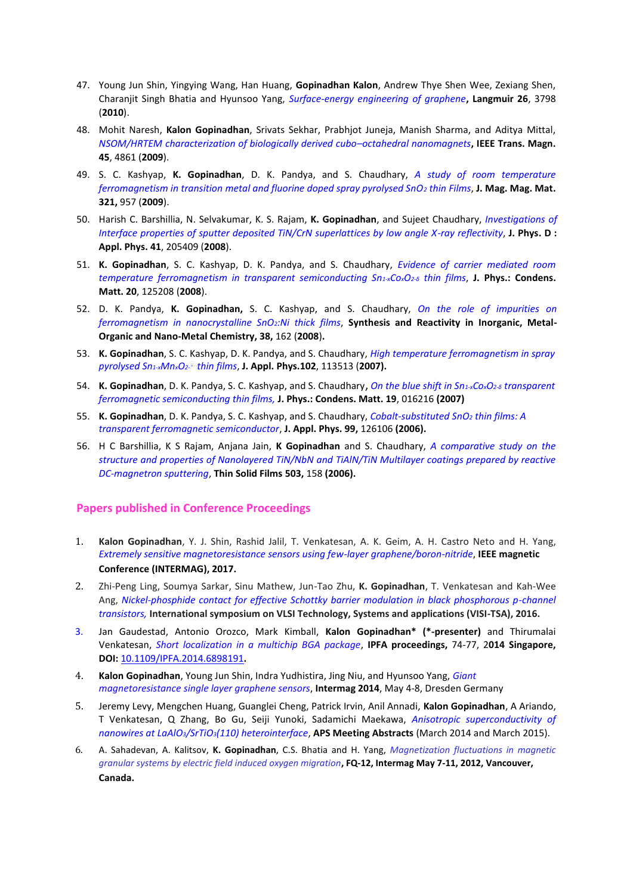- 47. Young Jun Shin, Yingying Wang, Han Huang, **Gopinadhan Kalon**, Andrew Thye Shen Wee, Zexiang Shen, Charanjit Singh Bhatia and Hyunsoo Yang, *Surface-energy engineering of graphene***, Langmuir 26**, 3798 (**2010**).
- 48. Mohit Naresh, **Kalon Gopinadhan**, Srivats Sekhar, Prabhjot Juneja, Manish Sharma, and Aditya Mittal, *NSOM/HRTEM characterization of biologically derived cubo–octahedral nanomagnets***, IEEE Trans. Magn. 45**, 4861 (**2009**).
- 49. S. C. Kashyap, **K. Gopinadhan**, D. K. Pandya, and S. Chaudhary, *A study of room temperature ferromagnetism in transition metal and fluorine doped spray pyrolysed SnO<sup>2</sup> thin Films*, **J. Mag. Mag. Mat. 321,** 957 (**2009**).
- 50. Harish C. Barshillia, N. Selvakumar, K. S. Rajam, **K. Gopinadhan**, and Sujeet Chaudhary, *Investigations of Interface properties of sputter deposited TiN/CrN superlattices by low angle X-ray reflectivity*, **J. Phys. D : Appl. Phys. 41**, 205409 (**2008**).
- 51. **K. Gopinadhan**, S. C. Kashyap, D. K. Pandya, and S. Chaudhary, *Evidence of carrier mediated room temperature ferromagnetism in transparent semiconducting Sn1-xCoxO2-<sup>δ</sup> thin films*, **J. Phys.: Condens. Matt. 20**, 125208 (**2008**).
- 52. D. K. Pandya, **K. Gopinadhan,** S. C. Kashyap, and S. Chaudhary, *On the role of impurities on ferromagnetism in nanocrystalline SnO2:Ni thick films*, **Synthesis and Reactivity in Inorganic, Metal-Organic and Nano-Metal Chemistry, 38,** 162 (**2008**)**.**
- 53. **K. Gopinadhan**, S. C. Kashyap, D. K. Pandya, and S. Chaudhary, *High temperature ferromagnetism in spray pyrolysed Sn1-xMnxO2- thin films*, **J. Appl. Phys.102**, 113513 (**2007).**
- 54. **K. Gopinadhan**, D. K. Pandya, S. C. Kashyap, and S. Chaudhary, *On the blue shift in Sn1-xCoxO2-<sup>δ</sup> transparent ferromagnetic semiconducting thin films,* **J. Phys.: Condens. Matt. 19**, 016216 **(2007)**
- 55. **K. Gopinadhan**, D. K. Pandya, S. C. Kashyap, and S. Chaudhary, *Cobalt-substituted SnO<sup>2</sup> thin films: A transparent ferromagnetic semiconductor*, **J. Appl. Phys. 99,** 126106 **(2006).**
- 56. H C Barshillia, K S Rajam, Anjana Jain, **K Gopinadhan** and S. Chaudhary, *A comparative study on the structure and properties of Nanolayered TiN/NbN and TiAlN/TiN Multilayer coatings prepared by reactive DC-magnetron sputtering*, **Thin Solid Films 503,** 158 **(2006).**

## **Papers published in Conference Proceedings**

- 1. **Kalon Gopinadhan**, Y. J. Shin, Rashid Jalil, T. Venkatesan, A. K. Geim, A. H. Castro Neto and H. Yang, *Extremely sensitive magnetoresistance sensors using few-layer graphene/boron-nitride*, **IEEE magnetic Conference (INTERMAG), 2017.**
- 2. Zhi-Peng Ling, Soumya Sarkar, Sinu Mathew, Jun-Tao Zhu, **K. Gopinadhan**, T. Venkatesan and Kah-Wee Ang, *Nickel-phosphide contact for effective Schottky barrier modulation in black phosphorous p-channel transistors,* **International symposium on VLSI Technology, Systems and applications (VISI-TSA), 2016.**
- 3. Jan Gaudestad, Antonio Orozco, Mark Kimball, **Kalon Gopinadhan\* (\*-presenter)** and Thirumalai Venkatesan, *Short localization in a multichip BGA package*, **IPFA proceedings,** 74-77, 2**014 Singapore, DOI:** [10.1109/IPFA.2014.6898191](http://dx.doi.org/10.1109/IPFA.2014.6898191)**.**
- 4. **Kalon Gopinadhan**, Young Jun Shin, Indra Yudhistira, Jing Niu, and Hyunsoo Yang, *Giant magnetoresistance single layer graphene sensors*, **Intermag 2014**, May 4-8, Dresden Germany
- 5. Jeremy Levy, Mengchen Huang, Guanglei Cheng, Patrick Irvin, Anil Annadi, **Kalon Gopinadhan**, A Ariando, T Venkatesan, Q Zhang, Bo Gu, Seiji Yunoki, Sadamichi Maekawa, *Anisotropic superconductivity of nanowires at LaAlO3/SrTiO3(110) heterointerface*, **APS Meeting Abstracts** (March 2014 and March 2015).
- 6. A. Sahadevan, A. Kalitsov, **K. Gopinadhan**, C.S. Bhatia and H. Yang, *Magnetization fluctuations in magnetic granular systems by electric field induced oxygen migration***, FQ-12, Intermag May 7-11, 2012, Vancouver, Canada.**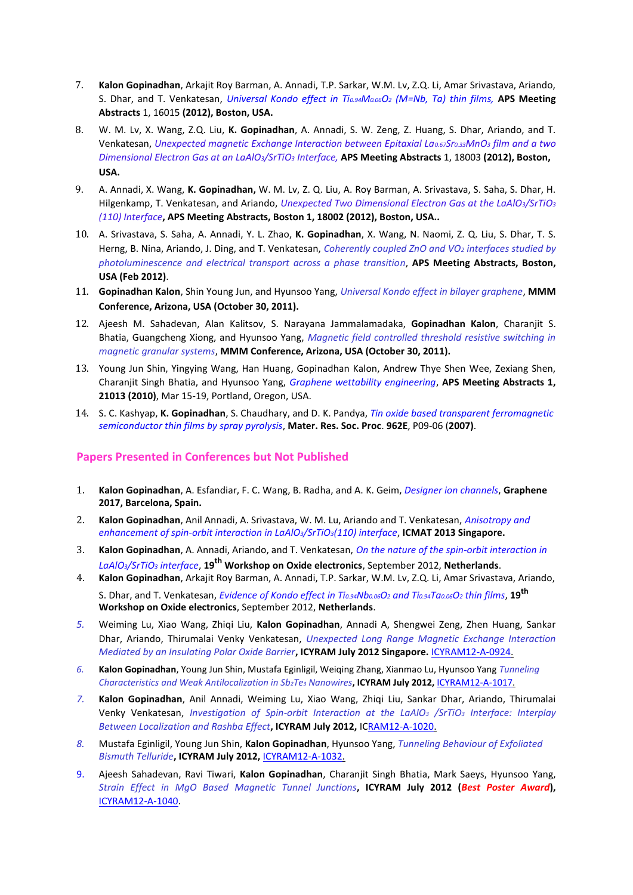- 7. **Kalon Gopinadhan**, Arkajit Roy Barman, A. Annadi, T.P. Sarkar, W.M. Lv, Z.Q. Li, Amar Srivastava, Ariando, S. Dhar, and T. Venkatesan, *Universal Kondo effect in Ti0.94M0.06O<sup>2</sup> (M=Nb, Ta) thin films,* **APS Meeting Abstracts** 1, 16015 **(2012), Boston, USA.**
- 8. W. M. Lv, X. Wang, Z.Q. Liu, **K. Gopinadhan**, A. Annadi, S. W. Zeng, Z. Huang, S. Dhar, Ariando, and T. Venkatesan, *Unexpected magnetic Exchange Interaction between Epitaxial La0.67Sr0.33MnO<sup>3</sup> film and a two Dimensional Electron Gas at an LaAlO3/SrTiO<sup>3</sup> Interface,* **APS Meeting Abstracts** 1, 18003 **(2012), Boston, USA.**
- 9. A. Annadi, X. Wang, **K. Gopinadhan,** W. M. Lv, Z. Q. Liu, A. Roy Barman, A. Srivastava, S. Saha, S. Dhar, H. Hilgenkamp, T. Venkatesan, and Ariando, *Unexpected Two Dimensional Electron Gas at the LaAlO3/SrTiO<sup>3</sup> (110) Interface***, APS Meeting Abstracts, Boston 1, 18002 (2012), Boston, USA..**
- 10. A. Srivastava, S. Saha, A. Annadi, Y. L. Zhao, **K. Gopinadhan**, X. Wang, N. Naomi, Z. Q. Liu, S. Dhar, T. S. Herng, B. Nina, Ariando, J. Ding, and T. Venkatesan, *Coherently coupled ZnO and VO<sup>2</sup> interfaces studied by photoluminescence and electrical transport across a phase transition*, **APS Meeting Abstracts, Boston, USA (Feb 2012)**.
- 11. **Gopinadhan Kalon**, Shin Young Jun, and Hyunsoo Yang, *Universal Kondo effect in bilayer graphene*, **MMM Conference, Arizona, USA (October 30, 2011).**
- 12. Ajeesh M. Sahadevan, Alan Kalitsov, S. Narayana Jammalamadaka, **Gopinadhan Kalon**, Charanjit S. Bhatia, Guangcheng Xiong, and Hyunsoo Yang, *Magnetic field controlled threshold resistive switching in magnetic granular systems*, **MMM Conference, Arizona, USA (October 30, 2011).**
- 13. Young Jun Shin, Yingying Wang, Han Huang, Gopinadhan Kalon, Andrew Thye Shen Wee, Zexiang Shen, Charanjit Singh Bhatia, and Hyunsoo Yang, *Graphene wettability engineering*, **APS Meeting Abstracts 1, 21013 (2010)**, Mar 15-19, Portland, Oregon, USA.
- 14. S. C. Kashyap, **K. Gopinadhan**, S. Chaudhary, and D. K. Pandya, *Tin oxide based transparent ferromagnetic semiconductor thin films by spray pyrolysis*, **Mater. Res. Soc. Proc**. **962E**, P09-06 (**2007)**.

## **Papers Presented in Conferences but Not Published**

- 1. **Kalon Gopinadhan**, A. Esfandiar, F. C. Wang, B. Radha, and A. K. Geim, *Designer ion channels*, **Graphene 2017, Barcelona, Spain.**
- 2. **Kalon Gopinadhan**, Anil Annadi, A. Srivastava, W. M. Lu, Ariando and T. Venkatesan, *Anisotropy and enhancement of spin-orbit interaction in LaAlO3/SrTiO3(110) interface*, **ICMAT 2013 Singapore.**
- 3. **Kalon Gopinadhan**, A. Annadi, Ariando, and T. Venkatesan, *On the nature of the spin-orbit interaction in LaAlO3/SrTiO<sup>3</sup> interface*, **19th Workshop on Oxide electronics**, September 2012, **Netherlands**.
- 4. **Kalon Gopinadhan**, Arkajit Roy Barman, A. Annadi, T.P. Sarkar, W.M. Lv, Z.Q. Li, Amar Srivastava, Ariando, S. Dhar, and T. Venkatesan, *Evidence of Kondo effect in Ti0.94Nb0.06O<sup>2</sup> and Ti0.94Ta0.06O<sup>2</sup> thin films*, **19th Workshop on Oxide electronics**, September 2012, **Netherlands**.
- *5.* Weiming Lu, Xiao Wang, Zhiqi Liu, **Kalon Gopinadhan**, Annadi A, Shengwei Zeng, Zhen Huang, Sankar Dhar, Ariando, Thirumalai Venky Venkatesan, *Unexpected Long Range Magnetic Exchange Interaction Mediated by an Insulating Polar Oxide Barrier***, ICYRAM July 2012 Singapore.** [ICYRAM12-A-0924.](http://www.meetmatt.net/mrss/icyram2012/authorAbsView.asp?absID=924)
- *6.* **Kalon Gopinadhan**, Young Jun Shin, Mustafa Eginligil, Weiqing Zhang, Xianmao Lu, Hyunsoo Yang *Tunneling Characteristics and Weak Antilocalization in Sb2Te<sup>3</sup> Nanowires***, ICYRAM July 2012,** [ICYRAM12-A-1017.](http://www.meetmatt.net/mrss/icyram2012/authorAbsView.asp?absID=1017)
- *7.* **Kalon Gopinadhan**, Anil Annadi, Weiming Lu, Xiao Wang, Zhiqi Liu, Sankar Dhar, Ariando, Thirumalai Venky Venkatesan, *Investigation of Spin-orbit Interaction at the LaAlO<sup>3</sup> /SrTiO<sup>3</sup> Interface: Interplay Between Localization and Rashba Effect***, ICYRAM July 2012,** I[CRAM12-A-1020.](http://www.meetmatt.net/mrss/icyram2012/authorAbsView.asp?absID=1020)
- *8.* Mustafa Eginligil, Young Jun Shin, **Kalon Gopinadhan**, Hyunsoo Yang, *Tunneling Behaviour of Exfoliated Bismuth Telluride***, ICYRAM July 2012,** [ICYRAM12-A-1032.](http://www.meetmatt.net/mrss/icyram2012/authorAbsView.asp?absID=1032)
- 9. Ajeesh Sahadevan, Ravi Tiwari, **Kalon Gopinadhan**, Charanjit Singh Bhatia, Mark Saeys, Hyunsoo Yang, *Strain Effect in MgO Based Magnetic Tunnel Junctions***, ICYRAM July 2012 (***Best Poster Award***),** [ICYRAM12-A-1040.](http://www.meetmatt.net/mrss/icyram2012/authorAbsView.asp?absID=1040)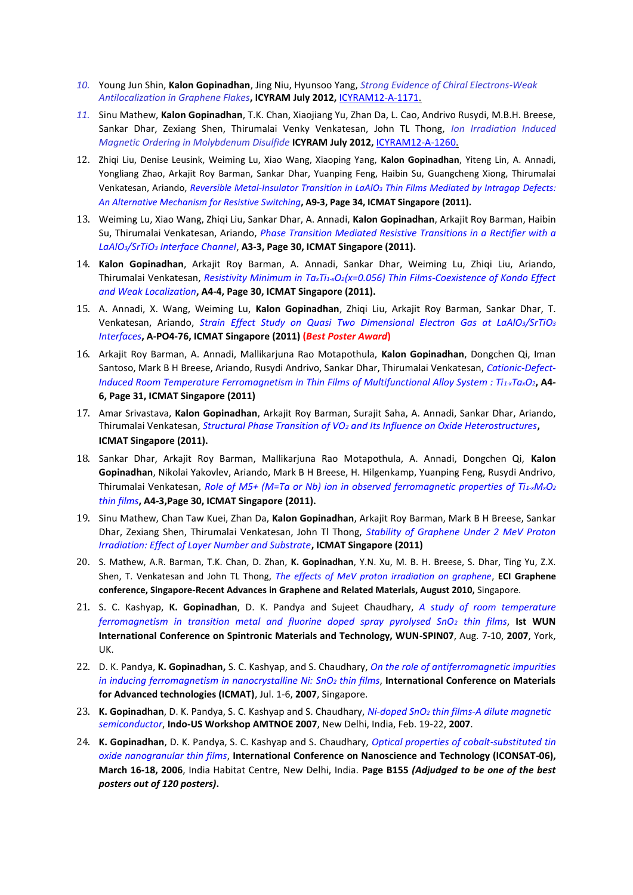- *10.* Young Jun Shin, **Kalon Gopinadhan**, Jing Niu, Hyunsoo Yang, *Strong Evidence of Chiral Electrons-Weak Antilocalization in Graphene Flakes***, ICYRAM July 2012,** [ICYRAM12-A-1171.](http://www.meetmatt.net/mrss/icyram2012/authorAbsView.asp?absID=1171)
- *11.* Sinu Mathew, **Kalon Gopinadhan**, T.K. Chan, Xiaojiang Yu, Zhan Da, L. Cao, Andrivo Rusydi, M.B.H. Breese, Sankar Dhar, Zexiang Shen, Thirumalai Venky Venkatesan, John TL Thong, *Ion Irradiation Induced Magnetic Ordering in Molybdenum Disulfide* **ICYRAM July 2012,** [ICYRAM12-A-1260.](http://www.meetmatt.net/mrss/icyram2012/authorAbsView.asp?absID=1260)
- 12. Zhiqi Liu, Denise Leusink, Weiming Lu, Xiao Wang, Xiaoping Yang, **Kalon Gopinadhan**, Yiteng Lin, A. Annadi, Yongliang Zhao, Arkajit Roy Barman, Sankar Dhar, Yuanping Feng, Haibin Su, Guangcheng Xiong, Thirumalai Venkatesan, Ariando, *Reversible Metal-Insulator Transition in LaAlO<sup>3</sup> Thin Films Mediated by Intragap Defects: An Alternative Mechanism for Resistive Switching***, A9-3, Page 34, ICMAT Singapore (2011).**
- 13. Weiming Lu, Xiao Wang, Zhiqi Liu, Sankar Dhar, A. Annadi, **Kalon Gopinadhan**, Arkajit Roy Barman, Haibin Su, Thirumalai Venkatesan, Ariando, *Phase Transition Mediated Resistive Transitions in a Rectifier with a LaAlO3/SrTiO<sup>3</sup> Interface Channel*, **A3-3, Page 30, ICMAT Singapore (2011).**
- 14. **Kalon Gopinadhan**, Arkajit Roy Barman, A. Annadi, Sankar Dhar, Weiming Lu, Zhiqi Liu, Ariando, Thirumalai Venkatesan, *Resistivity Minimum in TaxTi1-xO2(x=0.056) Thin Films-Coexistence of Kondo Effect and Weak Localization***, A4-4, Page 30, ICMAT Singapore (2011).**
- 15. A. Annadi, X. Wang, Weiming Lu, **Kalon Gopinadhan**, Zhiqi Liu, Arkajit Roy Barman, Sankar Dhar, T. Venkatesan, Ariando, *Strain Effect Study on Quasi Two Dimensional Electron Gas at LaAlO3/SrTiO<sup>3</sup> Interfaces***, A-PO4-76, ICMAT Singapore (2011) (***Best Poster Award***)**
- 16. Arkajit Roy Barman, A. Annadi, Mallikarjuna Rao Motapothula, **Kalon Gopinadhan**, Dongchen Qi, Iman Santoso, Mark B H Breese, Ariando, Rusydi Andrivo, Sankar Dhar, Thirumalai Venkatesan, *Cationic-Defect-Induced Room Temperature Ferromagnetism in Thin Films of Multifunctional Alloy System : Ti1-xTaxO2***, A4- 6, Page 31, ICMAT Singapore (2011)**
- 17. Amar Srivastava, **Kalon Gopinadhan**, Arkajit Roy Barman, Surajit Saha, A. Annadi, Sankar Dhar, Ariando, Thirumalai Venkatesan, *Structural Phase Transition of VO<sup>2</sup> and Its Influence on Oxide Heterostructures***, ICMAT Singapore (2011).**
- 18. Sankar Dhar, Arkajit Roy Barman, Mallikarjuna Rao Motapothula, A. Annadi, Dongchen Qi, **Kalon Gopinadhan**, Nikolai Yakovlev, Ariando, Mark B H Breese, H. Hilgenkamp, Yuanping Feng, Rusydi Andrivo, Thirumalai Venkatesan, *Role of M5+ (M=Ta or Nb) ion in observed ferromagnetic properties of Ti1-xMxO<sup>2</sup> thin films***, A4-3,Page 30, ICMAT Singapore (2011).**
- 19. Sinu Mathew, Chan Taw Kuei, Zhan Da, **Kalon Gopinadhan**, Arkajit Roy Barman, Mark B H Breese, Sankar Dhar, Zexiang Shen, Thirumalai Venkatesan, John Tl Thong, *Stability of Graphene Under 2 MeV Proton Irradiation: Effect of Layer Number and Substrate***, ICMAT Singapore (2011)**
- 20. S. Mathew, A.R. Barman, T.K. Chan, D. Zhan, **K. Gopinadhan**, Y.N. Xu, M. B. H. Breese, S. Dhar, Ting Yu, Z.X. Shen, T. Venkatesan and John TL Thong, *The effects of MeV proton irradiation on graphene*, **ECI Graphene conference, Singapore-Recent Advances in Graphene and Related Materials, August 2010,** Singapore.
- 21. S. C. Kashyap, **K. Gopinadhan**, D. K. Pandya and Sujeet Chaudhary, *A study of room temperature ferromagnetism in transition metal and fluorine doped spray pyrolysed SnO<sup>2</sup> thin films*, **Ist WUN International Conference on Spintronic Materials and Technology, WUN-SPIN07**, Aug. 7-10, **2007**, York, UK.
- 22. D. K. Pandya, **K. Gopinadhan,** S. C. Kashyap, and S. Chaudhary, *On the role of antiferromagnetic impurities in inducing ferromagnetism in nanocrystalline Ni: SnO<sup>2</sup> thin films*, **International Conference on Materials for Advanced technologies (ICMAT)**, Jul. 1-6, **2007**, Singapore.
- 23. **K. Gopinadhan**, D. K. Pandya, S. C. Kashyap and S. Chaudhary, *Ni-doped SnO<sup>2</sup> thin films-A dilute magnetic semiconductor*, **Indo-US Workshop AMTNOE 2007**, New Delhi, India, Feb. 19-22, **2007**.
- 24. **K. Gopinadhan**, D. K. Pandya, S. C. Kashyap and S. Chaudhary, *Optical properties of cobalt-substituted tin oxide nanogranular thin films*, **International Conference on Nanoscience and Technology (ICONSAT-06), March 16-18, 2006**, India Habitat Centre, New Delhi, India. **Page B155** *(Adjudged to be one of the best posters out of 120 posters)***.**